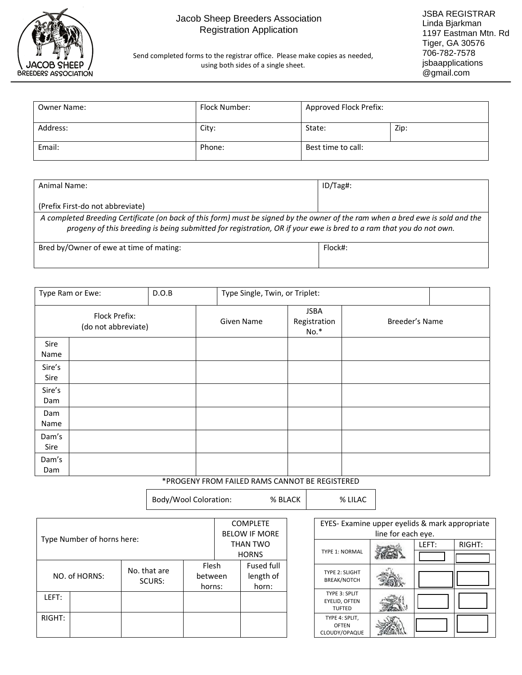

## Jacob Sheep Breeders Association Registration Application

Send completed forms to the registrar office. Please make copies as needed, using both sides of a single sheet.

| <b>Owner Name:</b> | Flock Number: | Approved Flock Prefix: |      |
|--------------------|---------------|------------------------|------|
| Address:           | City:         | State:                 | Zip: |
| Email:             | Phone:        | Best time to call:     |      |

| Animal Name:                                                                                                                                                                                                                                         | $ID/Tag\$ : |
|------------------------------------------------------------------------------------------------------------------------------------------------------------------------------------------------------------------------------------------------------|-------------|
|                                                                                                                                                                                                                                                      |             |
| (Prefix First-do not abbreviate)                                                                                                                                                                                                                     |             |
| A completed Breeding Certificate (on back of this form) must be signed by the owner of the ram when a bred ewe is sold and the<br>progeny of this breeding is being submitted for registration, OR if your ewe is bred to a ram that you do not own. |             |
| Bred by/Owner of ewe at time of mating:                                                                                                                                                                                                              | Flock#:     |

| ص من المناطق المناطق المناطق المناطق المناطق المناطق المناطق المناطق المناطق المناطق المناطق المناطق المناطقة | __ |  |
|---------------------------------------------------------------------------------------------------------------|----|--|
|                                                                                                               |    |  |
|                                                                                                               |    |  |
|                                                                                                               |    |  |
|                                                                                                               |    |  |
|                                                                                                               |    |  |
|                                                                                                               |    |  |

|                | Type Ram or Ewe:                     | D.O.B | Type Single, Twin, or Triplet: |                                       |                |  |
|----------------|--------------------------------------|-------|--------------------------------|---------------------------------------|----------------|--|
|                | Flock Prefix:<br>(do not abbreviate) |       | Given Name                     | <b>JSBA</b><br>Registration<br>$No.*$ | Breeder's Name |  |
| Sire<br>Name   |                                      |       |                                |                                       |                |  |
| Sire's<br>Sire |                                      |       |                                |                                       |                |  |
| Sire's<br>Dam  |                                      |       |                                |                                       |                |  |
| Dam<br>Name    |                                      |       |                                |                                       |                |  |
| Dam's<br>Sire  |                                      |       |                                |                                       |                |  |
| Dam's<br>Dam   |                                      |       |                                |                                       |                |  |

\*PROGENY FROM FAILED RAMS CANNOT BE REGISTERED

Body/Wool Coloration: % BLACK | % LILAC

|                            |  |                        |                      |              | <b>COMPLETE</b>   |
|----------------------------|--|------------------------|----------------------|--------------|-------------------|
| Type Number of horns here: |  |                        | <b>BELOW IF MORE</b> |              |                   |
|                            |  |                        | THAN TWO             |              |                   |
|                            |  |                        |                      | <b>HORNS</b> |                   |
|                            |  | No. that are<br>SCURS: | Flesh<br>between     |              | <b>Fused full</b> |
| NO. of HORNS:              |  |                        |                      |              | length of         |
|                            |  |                        | horns:               |              | horn:             |
| LEFT:                      |  |                        |                      |              |                   |
|                            |  |                        |                      |              |                   |
| RIGHT:                     |  |                        |                      |              |                   |
|                            |  |                        |                      |              |                   |
|                            |  |                        |                      |              |                   |

| EYES- Examine upper eyelids & mark appropriate<br>line for each eve. |  |       |        |  |  |
|----------------------------------------------------------------------|--|-------|--------|--|--|
| <b>TYPE 1: NORMAL</b>                                                |  | LEFT: | RIGHT: |  |  |
| <b>TYPE 2: SLIGHT</b><br><b>BREAK/NOTCH</b>                          |  |       |        |  |  |
| TYPE 3: SPLIT<br>EYELID, OFTEN<br><b>TUFTED</b>                      |  |       |        |  |  |
| TYPE 4: SPLIT,<br>OFTEN<br>CLOUDY/OPAQUE                             |  |       |        |  |  |